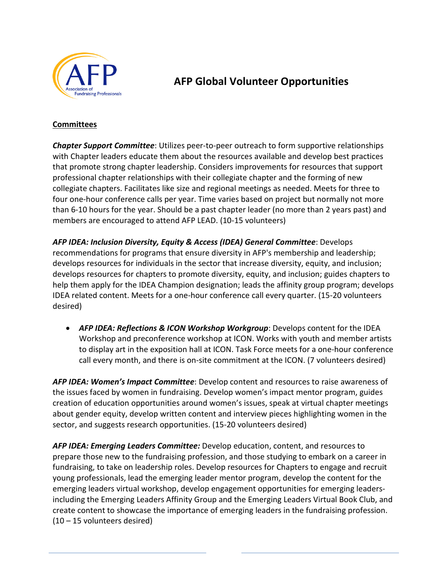

# **AFP Global Volunteer Opportunities**

#### **Committees**

*Chapter Support Committee*: Utilizes peer-to-peer outreach to form supportive relationships with Chapter leaders educate them about the resources available and develop best practices that promote strong chapter leadership. Considers improvements for resources that support professional chapter relationships with their collegiate chapter and the forming of new collegiate chapters. Facilitates like size and regional meetings as needed. Meets for three to four one-hour conference calls per year. Time varies based on project but normally not more than 6-10 hours for the year. Should be a past chapter leader (no more than 2 years past) and members are encouraged to attend AFP LEAD. (10-15 volunteers)

*AFP IDEA: Inclusion Diversity, Equity & Access (IDEA) General Committee*: Develops recommendations for programs that ensure diversity in AFP's membership and leadership; develops resources for individuals in the sector that increase diversity, equity, and inclusion; develops resources for chapters to promote diversity, equity, and inclusion; guides chapters to help them apply for the IDEA Champion designation; leads the affinity group program; develops IDEA related content. Meets for a one-hour conference call every quarter. (15-20 volunteers desired)

• *AFP IDEA: Reflections & ICON Workshop Workgroup*: Develops content for the IDEA Workshop and preconference workshop at ICON. Works with youth and member artists to display art in the exposition hall at ICON. Task Force meets for a one-hour conference call every month, and there is on-site commitment at the ICON. (7 volunteers desired)

*AFP IDEA: Women's Impact Committee*: Develop content and resources to raise awareness of the issues faced by women in fundraising. Develop women's impact mentor program, guides creation of education opportunities around women's issues, speak at virtual chapter meetings about gender equity, develop written content and interview pieces highlighting women in the sector, and suggests research opportunities. (15-20 volunteers desired)

*AFP IDEA: Emerging Leaders Committee:* Develop education, content, and resources to prepare those new to the fundraising profession, and those studying to embark on a career in fundraising, to take on leadership roles. Develop resources for Chapters to engage and recruit young professionals, lead the emerging leader mentor program, develop the content for the emerging leaders virtual workshop, develop engagement opportunities for emerging leadersincluding the Emerging Leaders Affinity Group and the Emerging Leaders Virtual Book Club, and create content to showcase the importance of emerging leaders in the fundraising profession. (10 – 15 volunteers desired)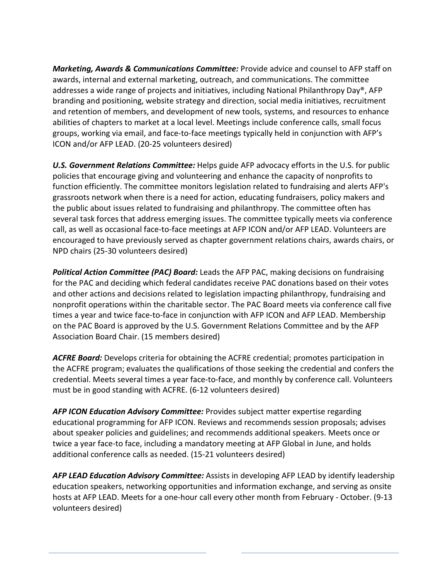*Marketing, Awards & Communications Committee:* Provide advice and counsel to AFP staff on awards, internal and external marketing, outreach, and communications. The committee addresses a wide range of projects and initiatives, including National Philanthropy Day®, AFP branding and positioning, website strategy and direction, social media initiatives, recruitment and retention of members, and development of new tools, systems, and resources to enhance abilities of chapters to market at a local level. Meetings include conference calls, small focus groups, working via email, and face-to-face meetings typically held in conjunction with AFP's ICON and/or AFP LEAD. (20-25 volunteers desired)

*U.S. Government Relations Committee:* Helps guide AFP advocacy efforts in the U.S. for public policies that encourage giving and volunteering and enhance the capacity of nonprofits to function efficiently. The committee monitors legislation related to fundraising and alerts AFP's grassroots network when there is a need for action, educating fundraisers, policy makers and the public about issues related to fundraising and philanthropy. The committee often has several task forces that address emerging issues. The committee typically meets via conference call, as well as occasional face-to-face meetings at AFP ICON and/or AFP LEAD. Volunteers are encouraged to have previously served as chapter government relations chairs, awards chairs, or NPD chairs (25-30 volunteers desired)

*Political Action Committee (PAC) Board:* Leads the AFP PAC, making decisions on fundraising for the PAC and deciding which federal candidates receive PAC donations based on their votes and other actions and decisions related to legislation impacting philanthropy, fundraising and nonprofit operations within the charitable sector. The PAC Board meets via conference call five times a year and twice face-to-face in conjunction with AFP ICON and AFP LEAD. Membership on the PAC Board is approved by the U.S. Government Relations Committee and by the AFP Association Board Chair. (15 members desired)

*ACFRE Board:* Develops criteria for obtaining the ACFRE credential; promotes participation in the ACFRE program; evaluates the qualifications of those seeking the credential and confers the credential. Meets several times a year face-to-face, and monthly by conference call. Volunteers must be in good standing with ACFRE. (6-12 volunteers desired)

*AFP ICON Education Advisory Committee:* Provides subject matter expertise regarding educational programming for AFP ICON. Reviews and recommends session proposals; advises about speaker policies and guidelines; and recommends additional speakers. Meets once or twice a year face-to face, including a mandatory meeting at AFP Global in June, and holds additional conference calls as needed. (15-21 volunteers desired)

*AFP LEAD Education Advisory Committee:* Assists in developing AFP LEAD by identify leadership education speakers, networking opportunities and information exchange, and serving as onsite hosts at AFP LEAD. Meets for a one-hour call every other month from February - October. (9-13 volunteers desired)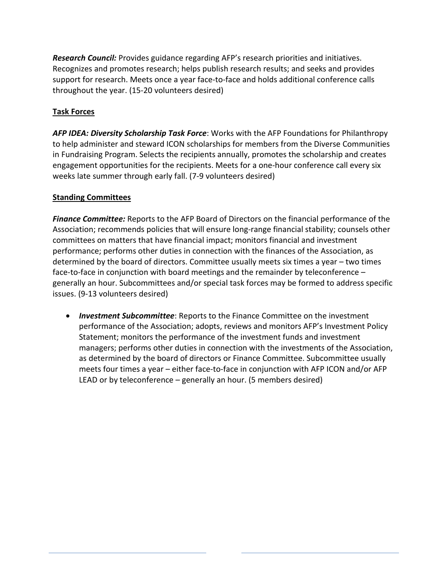*Research Council:* Provides guidance regarding AFP's research priorities and initiatives. Recognizes and promotes research; helps publish research results; and seeks and provides support for research. Meets once a year face-to-face and holds additional conference calls throughout the year. (15-20 volunteers desired)

### **Task Forces**

*AFP IDEA: Diversity Scholarship Task Force*: Works with the AFP Foundations for Philanthropy to help administer and steward ICON scholarships for members from the Diverse Communities in Fundraising Program. Selects the recipients annually, promotes the scholarship and creates engagement opportunities for the recipients. Meets for a one-hour conference call every six weeks late summer through early fall. (7-9 volunteers desired)

### **Standing Committees**

*Finance Committee:* Reports to the AFP Board of Directors on the financial performance of the Association; recommends policies that will ensure long-range financial stability; counsels other committees on matters that have financial impact; monitors financial and investment performance; performs other duties in connection with the finances of the Association, as determined by the board of directors. Committee usually meets six times a year – two times face-to-face in conjunction with board meetings and the remainder by teleconference – generally an hour. Subcommittees and/or special task forces may be formed to address specific issues. (9-13 volunteers desired)

• *Investment Subcommittee*: Reports to the Finance Committee on the investment performance of the Association; adopts, reviews and monitors AFP's Investment Policy Statement; monitors the performance of the investment funds and investment managers; performs other duties in connection with the investments of the Association, as determined by the board of directors or Finance Committee. Subcommittee usually meets four times a year – either face-to-face in conjunction with AFP ICON and/or AFP LEAD or by teleconference – generally an hour. (5 members desired)